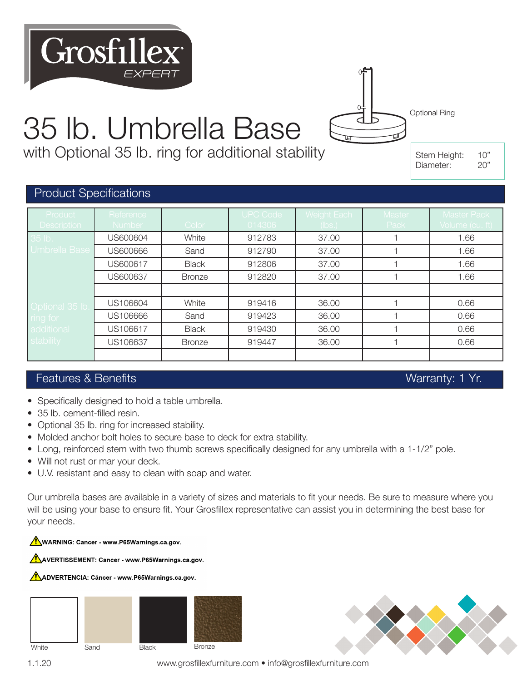# 35 lb. Umbrella Base

with Optional 35 lb. ring for additional stability

Stem Height: 10" Diameter: 20"

Optional Ring

 $\overline{\epsilon}$ 

#### Product Specifications

Grosfille:

| Product<br><b>Description</b> | Reference<br>Number | Color         | <b>UPC Code</b><br>014306 | Weight Each<br>(lbs.) | Master<br>Pack | <b>Master Pack</b><br>Volume (cu. ft) |
|-------------------------------|---------------------|---------------|---------------------------|-----------------------|----------------|---------------------------------------|
| 35 lb.                        | US600604            | White         | 912783                    | 37.00                 |                | 1.66                                  |
| Umbrella Base                 | US600666            | Sand          | 912790                    | 37.00                 |                | 1.66                                  |
|                               | US600617            | <b>Black</b>  | 912806                    | 37.00                 |                | 1.66                                  |
|                               | US600637            | <b>Bronze</b> | 912820                    | 37.00                 |                | 1.66                                  |
|                               |                     |               |                           |                       |                |                                       |
| Optional 35 lb.               | US106604            | White         | 919416                    | 36.00                 |                | 0.66                                  |
| ring for                      | US106666            | Sand          | 919423                    | 36.00                 |                | 0.66                                  |
| additional                    | US106617            | <b>Black</b>  | 919430                    | 36.00                 |                | 0.66                                  |
| stability                     | US106637            | <b>Bronze</b> | 919447                    | 36.00                 |                | 0.66                                  |
|                               |                     |               |                           |                       |                |                                       |

#### Features & Benefits Warranty: 1 Yr.

- Specifically designed to hold a table umbrella.
- 35 lb. cement-filled resin.
- Optional 35 lb. ring for increased stability.
- Molded anchor bolt holes to secure base to deck for extra stability.
- Long, reinforced stem with two thumb screws specifically designed for any umbrella with a 1-1/2" pole.
- Will not rust or mar your deck.
- U.V. resistant and easy to clean with soap and water.

Our umbrella bases are available in a variety of sizes and materials to fit your needs. Be sure to measure where you will be using your base to ensure fit. Your Grosfillex representative can assist you in determining the best base for your needs.

WARNING: Cancer - www.P65Warnings.ca.gov.

AVERTISSEMENT: Cancer - www.P65Warnings.ca.gov.

AADVERTENCIA: Cáncer - www.P65Warnings.ca.gov.